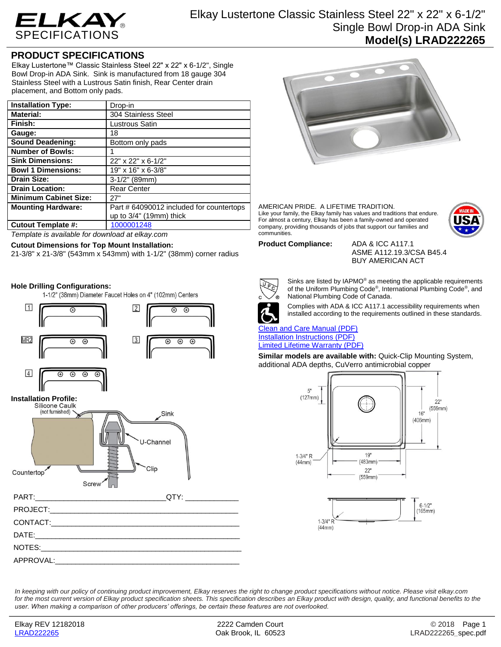

# Elkay Lustertone Classic Stainless Steel 22" x 22" x 6-1/2" Single Bowl Drop-in ADA Sink **Model(s) LRAD222265**

## **PRODUCT SPECIFICATIONS**

Elkay Lustertone™ Classic Stainless Steel 22" x 22" x 6-1/2", Single Bowl Drop-in ADA Sink. Sink is manufactured from 18 gauge 304 Stainless Steel with a Lustrous Satin finish, Rear Center drain placement, and Bottom only pads.

| <b>Installation Type:</b>    | Drop-in                                  |
|------------------------------|------------------------------------------|
| <b>Material:</b>             | 304 Stainless Steel                      |
| Finish:                      | Lustrous Satin                           |
| Gauge:                       | 18                                       |
| <b>Sound Deadening:</b>      | Bottom only pads                         |
| <b>Number of Bowls:</b>      |                                          |
| <b>Sink Dimensions:</b>      | 22" x 22" x 6-1/2"                       |
| <b>Bowl 1 Dimensions:</b>    | 19" x 16" x 6-3/8"                       |
| <b>Drain Size:</b>           | $3-1/2"$ (89mm)                          |
| <b>Drain Location:</b>       | <b>Rear Center</b>                       |
| <b>Minimum Cabinet Size:</b> | 27"                                      |
| <b>Mounting Hardware:</b>    | Part # 64090012 included for countertops |
|                              | up to $3/4$ " (19mm) thick               |
| <b>Cutout Template #:</b>    | 1000001248                               |

*Template is available for download at elkay.com*

### **Cutout Dimensions for Top Mount Installation:**

21-3/8" x 21-3/8" (543mm x 543mm) with 1-1/2" (38mm) corner radius

### **Hole Drilling Configurations:**

1-1/2" (38mm) Diameter Faucet Holes on 4" (102mm) Centers



# **Installation Profile:**



# PART:\_\_\_\_\_\_\_\_\_\_\_\_\_\_\_\_\_\_\_\_\_\_\_\_\_\_\_\_\_\_\_\_QTY: \_\_\_\_\_\_\_\_\_\_\_\_\_ PROJECT: CONTACT: DATE:\_\_\_\_\_\_\_\_\_\_\_\_\_\_\_\_\_\_\_\_\_\_\_\_\_\_\_\_\_\_\_\_\_\_\_\_\_\_\_\_\_\_\_\_\_\_\_\_\_\_ NOTES: APPROVAL:



#### AMERICAN PRIDE. A LIFETIME TRADITION. Like your family, the Elkay family has values and traditions that endure. For almost a century, Elkay has been a family-owned and operated company, providing thousands of jobs that support our families and communities.



**Product Compliance:** ADA & ICC A117.1

ASME A112.19.3/CSA B45.4 BUY AMERICAN ACT



Sinks are listed by IAPMO® as meeting the applicable requirements of the Uniform Plumbing Code® , International Plumbing Code® , and National Plumbing Code of Canada.



Complies with ADA & ICC A117.1 accessibility requirements when installed according to the requirements outlined in these standards.

[Clean and Care Manual \(PDF\)](http://www.elkay.com/wcsstore/lkdocs/care-cleaning-install-warranty-sheets/residential%20and%20commercial%20care%20%20cleaning.pdf) [Installation Instructions \(PDF\)](http://www.elkay.com/wcsstore/lkdocs/care-cleaning-install-warranty-sheets/74180147.pdf) [Limited Lifetime Warranty](http://www.elkay.com/wcsstore/lkdocs/care-cleaning-install-warranty-sheets/residential%20sinks%20warranty.pdf) (PDF)

**Similar models are available with:** Quick-Clip Mounting System, additional ADA depths, CuVerro antimicrobial copper





*In keeping with our policy of continuing product improvement, Elkay reserves the right to change product specifications without notice. Please visit elkay.com*  for the most current version of Elkay product specification sheets. This specification describes an Elkay product with design, quality, and functional benefits to the *user. When making a comparison of other producers' offerings, be certain these features are not overlooked.*